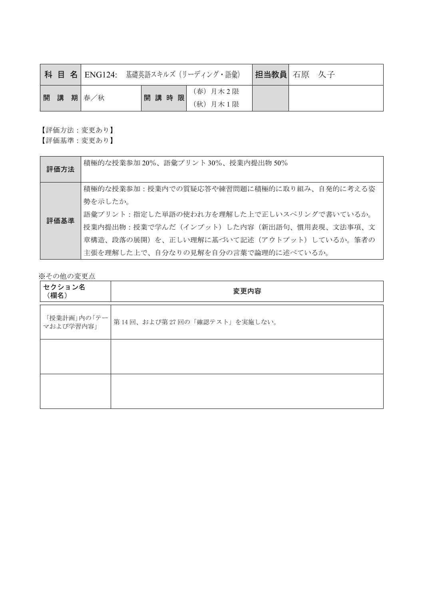|  |         | <b>  科 目 名 ENG124: 基礎英語スキルズ (リーディング・語彙)</b> |      |                      | 担当教員 石原 久子 |  |
|--|---------|---------------------------------------------|------|----------------------|------------|--|
|  | 開講 期春/秋 |                                             | 開講時限 | (春) 月木2限<br>(秋) 月木1限 |            |  |

【評価方法:変更あり】

【評価基準:変更あり】

| 評価方法 | 積極的な授業参加20%、語彙プリント30%、授業内提出物50%                                                         |
|------|-----------------------------------------------------------------------------------------|
|      | 積極的な授業参加:授業内での質疑応答や練習問題に積極的に取り組み、自発的に考える姿 <br>勢を示したか。                                   |
| 評価基準 | 語彙プリント:指定した単語の使われ方を理解した上で正しいスペリングで書いているか。<br> 授業内提出物:授業で学んだ(インプット)した内容(新出語句、慣用表現、文法事項、文 |
|      | 章構造、段落の展開)を、正しい理解に基づいて記述(アウトプット)しているか。筆者の                                               |
|      | 主張を理解した上で、自分なりの見解を自分の言葉で論理的に述べているか。                                                     |

| セクション名<br>(欄名)            | 変更内容                        |
|---------------------------|-----------------------------|
| 「授業計画」内の「テー <br>マおよび学習内容」 | 第14回、および第27回の「確認テスト」を実施しない。 |
|                           |                             |
|                           |                             |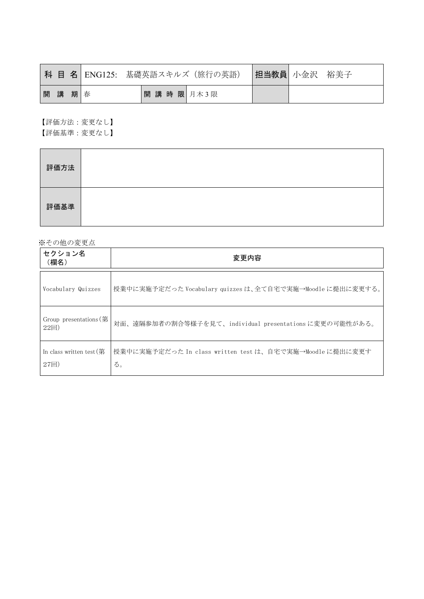|    |    | <b>科 目 名 </b> ENG125: 基礎英語スキルズ(旅行の英語) | 担当教員  小金沢 | 裕美子 |
|----|----|---------------------------------------|-----------|-----|
| 開講 | 期春 | 開講時限月木3限                              |           |     |

【評価方法:変更なし】 【評価基準:変更なし】

| 評価方法 |  |
|------|--|
| 評価基準 |  |

| セクション名<br>(欄名)                                   | 変更内容                                                           |
|--------------------------------------------------|----------------------------------------------------------------|
| Vocabulary Quizzes                               | 授業中に実施予定だった Vocabulary quizzes は、全て自宅で実施→Moodle に提出に変更する。      |
| Group presentations (第<br>$22$ 回                 | 対面、遠隔参加者の割合等様子を見て、individual presentations に変更の可能性がある。         |
| In class written test $(\frac{4}{11})$<br>$27$ 回 | 授業中に実施予定だった In class written test は、自宅で実施→Moodle に提出に変更す<br>る。 |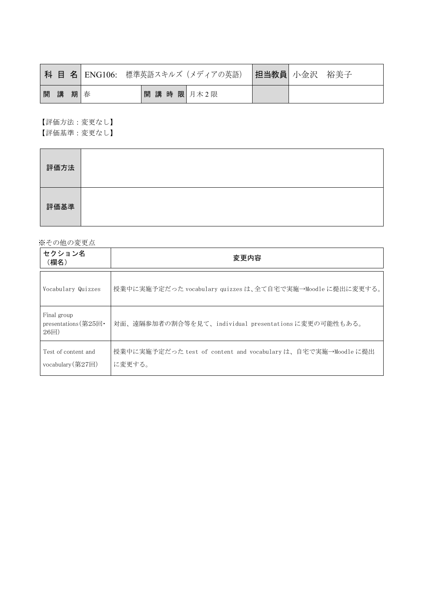|    |    | 科目名   ENG106: |          | ■標準英語スキルズ(メディアの英語) ┃ <b>担当教員</b> │ 小金沢 |  | 裕美子 |
|----|----|---------------|----------|----------------------------------------|--|-----|
| 開講 | 期春 |               | 開講時限月木2限 |                                        |  |     |

【評価方法:変更なし】 【評価基準:変更なし】

| 評価方法 |  |
|------|--|
| 評価基準 |  |

| セクション名<br>(欄名)                                       | 変更内容                                                                    |
|------------------------------------------------------|-------------------------------------------------------------------------|
| Vocabulary Quizzes                                   | 授業中に実施予定だった vocabulary quizzes は、全て自宅で実施→Moodle に提出に変更する。               |
| Final group<br>presentations (第25回 $\cdot$<br>$26$ 回 | 対面、遠隔参加者の割合等を見て、individual presentationsに変更の可能性もある。                     |
| Test of content and<br>vocabulary $(\frac{27}{12})$  | 授業中に実施予定だった test of content and vocabulary は、自宅で実施→Moodle に提出<br>に変更する。 |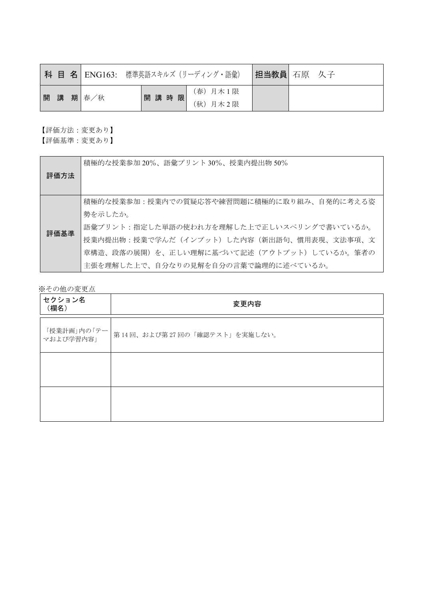|  |         | 科 目 名   ENG163: 標準英語スキルズ (リーディング・語彙) |      |                      | 担当教員  石原 久子 |  |
|--|---------|--------------------------------------|------|----------------------|-------------|--|
|  | 開講 期春/秋 |                                      | 開講時限 | (春) 月木1限<br>(秋) 月木2限 |             |  |

【評価方法:変更あり】

【評価基準:変更あり】

|      | 積極的な授業参加20%、語彙プリント30%、授業内提出物50%           |
|------|-------------------------------------------|
| 評価方法 |                                           |
|      |                                           |
|      | 積極的な授業参加:授業内での質疑応答や練習問題に積極的に取り組み、自発的に考える姿 |
|      | 勢を示したか。                                   |
| 評価基準 | 語彙プリント:指定した単語の使われ方を理解した上で正しいスペリングで書いているか。 |
|      | 授業内提出物:授業で学んだ(インプット)した内容(新出語句、慣用表現、文法事項、文 |
|      | 章構造、段落の展開)を、正しい理解に基づいて記述(アウトプット)しているか。筆者の |
|      | 主張を理解した上で、自分なりの見解を自分の言葉で論理的に述べているか。       |

| セクション名<br>(欄名)            | 変更内容                        |
|---------------------------|-----------------------------|
| 「授業計画」内の「テー <br>マおよび学習内容」 | 第14回、および第27回の「確認テスト」を実施しない。 |
|                           |                             |
|                           |                             |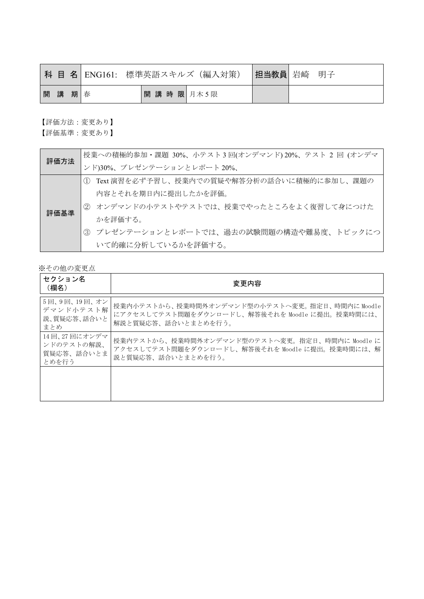|      |  |          | 科 目 名 ENG161: 標準英語スキルズ(編入対策) | 担当教員 岩崎 | 明子 |
|------|--|----------|------------------------------|---------|----|
| 開講期春 |  | 開講時限月木5限 |                              |         |    |

【評価方法:変更あり】

【評価基準:変更あり】

| 評価方法 | 授業への積極的参加・課題 30%、小テスト3回(オンデマンド) 20%、テスト 2回 (オンデマ |
|------|--------------------------------------------------|
|      | ンド)30%、プレゼンテーションとレポート20%、                        |
|      | Text 演習を必ず予習し、授業内での質疑や解答分析の話合いに積極的に参加し、課題の       |
|      | 内容とそれを期日内に提出したかを評価。                              |
| 評価基準 | ② オンデマンドの小テストやテストでは、授業でやったところをよく復習して身につけた        |
|      | かを評価する。                                          |
|      | 3 プレゼンテーションとレポートでは、過去の試験問題の構造や難易度、トピックにつ         |
|      | いて的確に分析しているかを評価する。                               |

| セクション名<br>(欄名)                                    | 変更内容                                                                                                                    |
|---------------------------------------------------|-------------------------------------------------------------------------------------------------------------------------|
| 5回、9回、19回、オン<br>デマンド小テスト解<br>説、質疑応答、話合いと<br>まとめ   | 授業内小テストから、授業時間外オンデマンド型の小テストへ変更。指定日、時間内に Moodle<br>にアクセスしてテスト問題をダウンロードし、解答後それを Moodle に提出。授業時間には、<br>解説と質疑応答、話合いとまとめを行う。 |
| 14回、27回にオンデマ<br>ンドのテストの解説、<br>質疑応答、話合いとま<br>とめを行う | 授業内テストから、授業時間外オンデマンド型のテストへ変更。指定日、時間内に Moodle に<br>アクセスしてテスト問題をダウンロードし、解答後それを Moodle に提出。授業時間には、解<br>説と質疑応答、話合いとまとめを行う。  |
|                                                   |                                                                                                                         |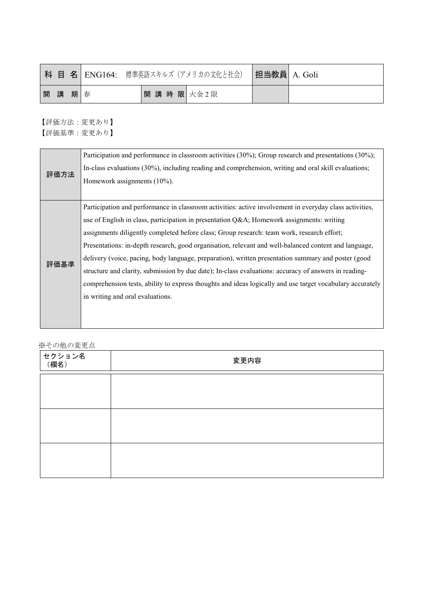|   |   |   |   | 科 目 名   ENG164: 標準英語スキルズ (アメリカの文化と社会) | 担当教員  A. Goli |  |
|---|---|---|---|---------------------------------------|---------------|--|
| 開 | 講 | 期 | 春 | 開講時限次金2限                              |               |  |

|      | Participation and performance in classroom activities (30%); Group research and presentations (30%);      |
|------|-----------------------------------------------------------------------------------------------------------|
| 評価方法 | In-class evaluations (30%), including reading and comprehension, writing and oral skill evaluations;      |
|      | Homework assignments (10%).                                                                               |
|      |                                                                                                           |
|      | Participation and performance in classroom activities: active involvement in everyday class activities,   |
|      | use of English in class, participation in presentation Q&A Homework assignments: writing                  |
|      | assignments diligently completed before class; Group research: team work, research effort;                |
|      | Presentations: in-depth research, good organisation, relevant and well-balanced content and language,     |
| 評価基準 | delivery (voice, pacing, body language, preparation), written presentation summary and poster (good       |
|      | structure and clarity, submission by due date); In-class evaluations: accuracy of answers in reading-     |
|      | comprehension tests, ability to express thoughts and ideas logically and use target vocabulary accurately |
|      | in writing and oral evaluations.                                                                          |
|      |                                                                                                           |
|      |                                                                                                           |

| $\cdots$ $\cdots$ $\cdots$<br>セクション名<br>(欄名) | 変更内容 |
|----------------------------------------------|------|
|                                              |      |
|                                              |      |
|                                              |      |
|                                              |      |
|                                              |      |
|                                              |      |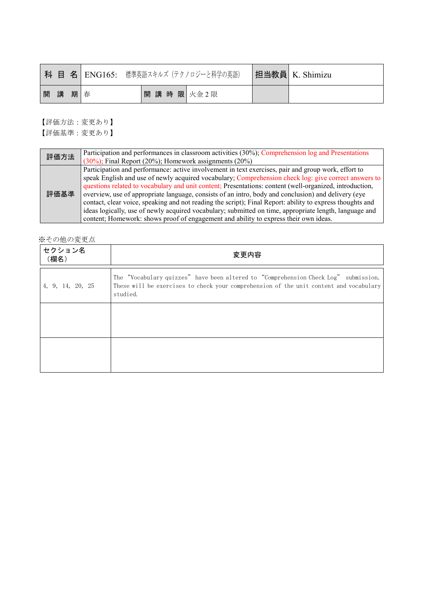|    |    | 科 目 名   ENG165: 標準英語スキルズ (テクノロジーと科学の英語) | 担当教員 K. Shimizu |
|----|----|-----------------------------------------|-----------------|
| 開講 | 期春 | 開講時限次金2限                                |                 |

| 評価方法 | Participation and performances in classroom activities (30%); Comprehension log and Presentations<br>$(30\%)$ ; Final Report (20%); Homework assignments (20%)                                                                                                                                                                                                                                                                                                                                                                                                                                                                                                                                                                               |
|------|----------------------------------------------------------------------------------------------------------------------------------------------------------------------------------------------------------------------------------------------------------------------------------------------------------------------------------------------------------------------------------------------------------------------------------------------------------------------------------------------------------------------------------------------------------------------------------------------------------------------------------------------------------------------------------------------------------------------------------------------|
| 評価基準 | Participation and performance: active involvement in text exercises, pair and group work, effort to<br>speak English and use of newly acquired vocabulary; Comprehension check log; give correct answers to<br>questions related to vocabulary and unit content; Presentations: content (well-organized, introduction,<br>overview, use of appropriate language, consists of an intro, body and conclusion) and delivery (eye<br>contact, clear voice, speaking and not reading the script); Final Report: ability to express thoughts and<br>ideas logically, use of newly acquired vocabulary; submitted on time, appropriate length, language and<br>content; Homework: shows proof of engagement and ability to express their own ideas. |

| セクション名<br>(欄名)   | 変更内容                                                                                                                                                                                      |
|------------------|-------------------------------------------------------------------------------------------------------------------------------------------------------------------------------------------|
| 4, 9, 14, 20, 25 | The "Vocabulary quizzes" have been altered to "Comprehension Check Log" submission.<br>These will be exercises to check your comprehension of the unit content and vocabulary<br>studied. |
|                  |                                                                                                                                                                                           |
|                  |                                                                                                                                                                                           |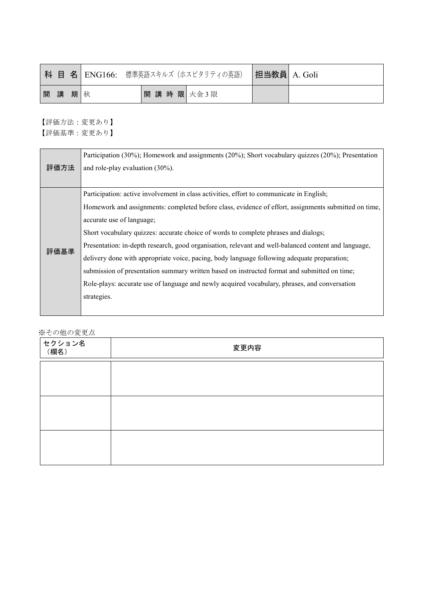|   |   |     |          | 科 目 名   ENG166: 標準英語スキルズ (ホスピタリティの英語) | 担当教員 A. Goli |  |
|---|---|-----|----------|---------------------------------------|--------------|--|
| 開 | 講 | 期 秋 | 開講時限次金3限 |                                       |              |  |

|      | Participation (30%); Homework and assignments (20%); Short vocabulary quizzes (20%); Presentation    |
|------|------------------------------------------------------------------------------------------------------|
| 評価方法 | and role-play evaluation $(30\%)$ .                                                                  |
|      |                                                                                                      |
|      | Participation: active involvement in class activities, effort to communicate in English;             |
|      | Homework and assignments: completed before class, evidence of effort, assignments submitted on time, |
|      | accurate use of language;                                                                            |
|      | Short vocabulary quizzes: accurate choice of words to complete phrases and dialogs;                  |
| 評価基準 | Presentation: in-depth research, good organisation, relevant and well-balanced content and language, |
|      | delivery done with appropriate voice, pacing, body language following adequate preparation;          |
|      | submission of presentation summary written based on instructed format and submitted on time;         |
|      | Role-plays: accurate use of language and newly acquired vocabulary, phrases, and conversation        |
|      | strategies.                                                                                          |
|      |                                                                                                      |

| │セクション名<br>│ (欄名) | 変更内容 |
|-------------------|------|
|                   |      |
|                   |      |
|                   |      |
|                   |      |
|                   |      |
|                   |      |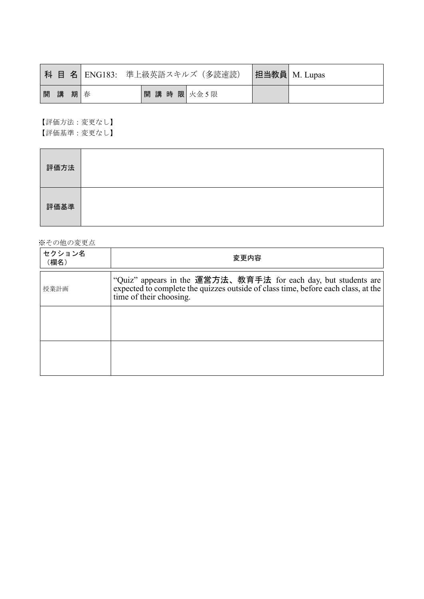|    |    | 科 目 名  ENG183: 準上級英語スキルズ(多読速読) |  | 担当教員 M. Lupas |
|----|----|--------------------------------|--|---------------|
| 開講 | 期春 | 開講時限次金5限                       |  |               |

【評価方法:変更なし】 【評価基準:変更なし】

| 評価方法 |  |
|------|--|
| 評価基準 |  |

| セクション名<br>(欄名) | 変更内容                                                                                                                                                                           |
|----------------|--------------------------------------------------------------------------------------------------------------------------------------------------------------------------------|
| 授業計画           | "Quiz" appears in the 運営方法、教育手法 for each day, but students are<br>expected to complete the quizzes outside of class time, before each class, at the<br>time of their choosing. |
|                |                                                                                                                                                                                |
|                |                                                                                                                                                                                |